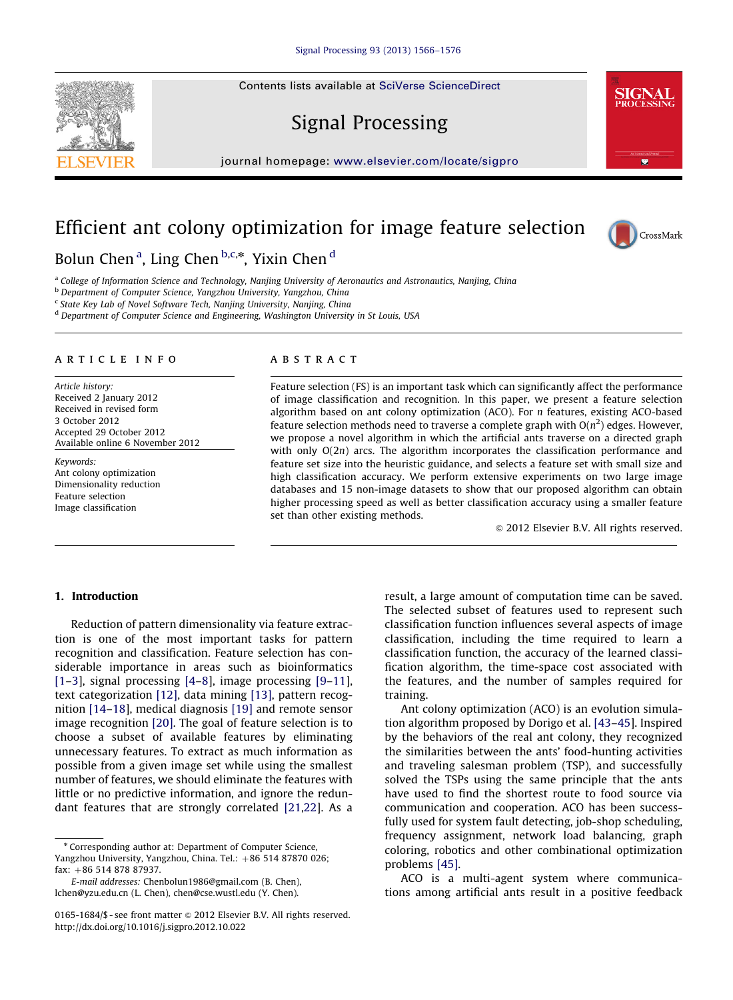Contents lists available at [SciVerse ScienceDirect](www.elsevier.com/locate/sigpro)

## Signal Processing

journal homepage: <www.elsevier.com/locate/sigpro>



### Efficient ant colony optimization for image feature selection

### Bolun Chen<sup>a</sup>, Ling Chen b,c,\*, Yixin Chen<sup>d</sup>

a College of Information Science and Technology, Nanjing University of Aeronautics and Astronautics, Nanjing, China

<sup>b</sup> Department of Computer Science, Yangzhou University, Yangzhou, China

<sup>c</sup> State Key Lab of Novel Software Tech, Nanjing University, Nanjing, China

<sup>d</sup> Department of Computer Science and Engineering, Washington University in St Louis, USA

#### article info

Article history: Received 2 January 2012 Received in revised form 3 October 2012 Accepted 29 October 2012 Available online 6 November 2012

Keywords: Ant colony optimization Dimensionality reduction Feature selection Image classification

#### **ABSTRACT**

Feature selection (FS) is an important task which can significantly affect the performance of image classification and recognition. In this paper, we present a feature selection algorithm based on ant colony optimization (ACO). For n features, existing ACO-based feature selection methods need to traverse a complete graph with  $O(n^2)$  edges. However, we propose a novel algorithm in which the artificial ants traverse on a directed graph with only  $O(2n)$  arcs. The algorithm incorporates the classification performance and feature set size into the heuristic guidance, and selects a feature set with small size and high classification accuracy. We perform extensive experiments on two large image databases and 15 non-image datasets to show that our proposed algorithm can obtain higher processing speed as well as better classification accuracy using a smaller feature set than other existing methods.

 $\odot$  2012 Elsevier B.V. All rights reserved.

### 1. Introduction

Reduction of pattern dimensionality via feature extraction is one of the most important tasks for pattern recognition and classification. Feature selection has considerable importance in areas such as bioinformatics [\[1–3](#page--1-0)], signal processing [\[4–8\]](#page--1-0), image processing [\[9–11](#page--1-0)], text categorization [\[12\],](#page--1-0) data mining [\[13\],](#page--1-0) pattern recognition [\[14–18](#page--1-0)], medical diagnosis [\[19\]](#page--1-0) and remote sensor image recognition [\[20\].](#page--1-0) The goal of feature selection is to choose a subset of available features by eliminating unnecessary features. To extract as much information as possible from a given image set while using the smallest number of features, we should eliminate the features with little or no predictive information, and ignore the redundant features that are strongly correlated [\[21,22](#page--1-0)]. As a

E-mail addresses: [Chenbolun1986@gmail.com \(B. Chen\),](mailto:Chenbolun1986@gmail.com) [lchen@yzu.edu.cn \(L. Chen\)](mailto:lchen@yzu.edu.cn), [chen@cse.wustl.edu \(Y. Chen\)](mailto:chen@cse.wustl.edu).

result, a large amount of computation time can be saved. The selected subset of features used to represent such classification function influences several aspects of image classification, including the time required to learn a classification function, the accuracy of the learned classification algorithm, the time-space cost associated with the features, and the number of samples required for training.

Ant colony optimization (ACO) is an evolution simulation algorithm proposed by Dorigo et al. [\[43](#page--1-0)–[45\]](#page--1-0). Inspired by the behaviors of the real ant colony, they recognized the similarities between the ants' food-hunting activities and traveling salesman problem (TSP), and successfully solved the TSPs using the same principle that the ants have used to find the shortest route to food source via communication and cooperation. ACO has been successfully used for system fault detecting, job-shop scheduling, frequency assignment, network load balancing, graph coloring, robotics and other combinational optimization problems [\[45\]](#page--1-0).

ACO is a multi-agent system where communications among artificial ants result in a positive feedback

<sup>\*</sup> Corresponding author at: Department of Computer Science, Yangzhou University, Yangzhou, China. Tel.:  $+86$  514 87870 026;  $fax: +86 514 878 87937.$ 

<sup>0165-1684/\$ -</sup> see front matter  $\odot$  2012 Elsevier B.V. All rights reserved. [http://dx.doi.org/10.1016/j.sigpro.2012.10.022](dx.doi.org/10.1016/j.sigpro.2012.10.022)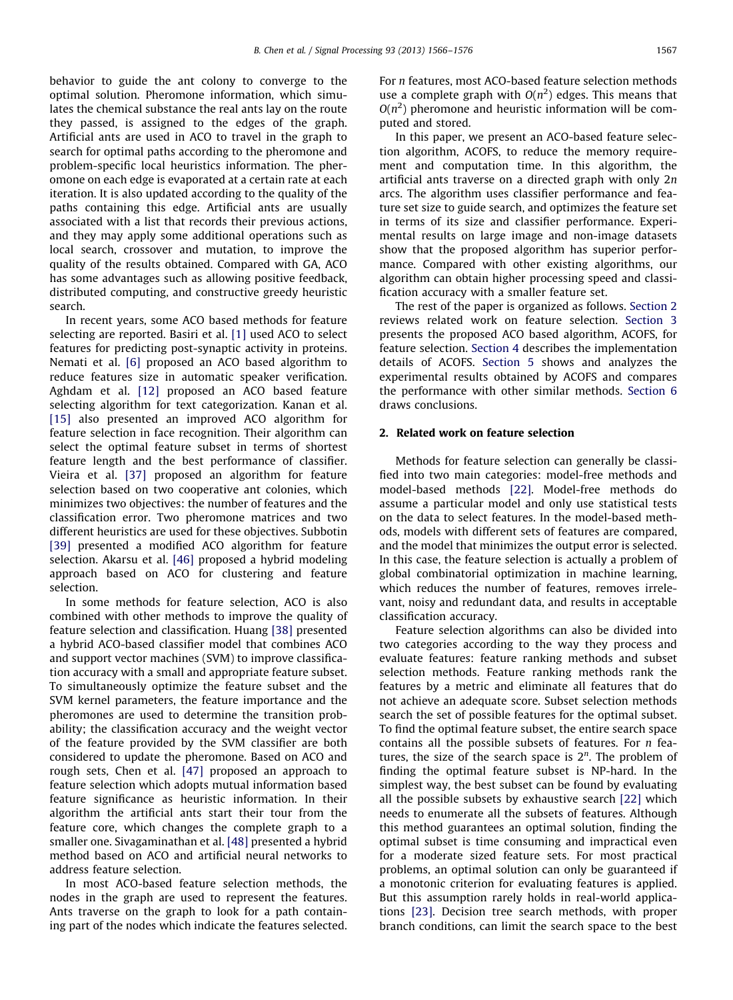behavior to guide the ant colony to converge to the optimal solution. Pheromone information, which simulates the chemical substance the real ants lay on the route they passed, is assigned to the edges of the graph. Artificial ants are used in ACO to travel in the graph to search for optimal paths according to the pheromone and problem-specific local heuristics information. The pheromone on each edge is evaporated at a certain rate at each iteration. It is also updated according to the quality of the paths containing this edge. Artificial ants are usually associated with a list that records their previous actions, and they may apply some additional operations such as local search, crossover and mutation, to improve the quality of the results obtained. Compared with GA, ACO has some advantages such as allowing positive feedback, distributed computing, and constructive greedy heuristic search.

In recent years, some ACO based methods for feature selecting are reported. Basiri et al. [\[1\]](#page--1-0) used ACO to select features for predicting post-synaptic activity in proteins. Nemati et al. [\[6\]](#page--1-0) proposed an ACO based algorithm to reduce features size in automatic speaker verification. Aghdam et al. [\[12\]](#page--1-0) proposed an ACO based feature selecting algorithm for text categorization. Kanan et al. [\[15\]](#page--1-0) also presented an improved ACO algorithm for feature selection in face recognition. Their algorithm can select the optimal feature subset in terms of shortest feature length and the best performance of classifier. Vieira et al. [\[37\]](#page--1-0) proposed an algorithm for feature selection based on two cooperative ant colonies, which minimizes two objectives: the number of features and the classification error. Two pheromone matrices and two different heuristics are used for these objectives. Subbotin [\[39\]](#page--1-0) presented a modified ACO algorithm for feature selection. Akarsu et al. [\[46\]](#page--1-0) proposed a hybrid modeling approach based on ACO for clustering and feature selection.

In some methods for feature selection, ACO is also combined with other methods to improve the quality of feature selection and classification. Huang [\[38\]](#page--1-0) presented a hybrid ACO-based classifier model that combines ACO and support vector machines (SVM) to improve classification accuracy with a small and appropriate feature subset. To simultaneously optimize the feature subset and the SVM kernel parameters, the feature importance and the pheromones are used to determine the transition probability; the classification accuracy and the weight vector of the feature provided by the SVM classifier are both considered to update the pheromone. Based on ACO and rough sets, Chen et al. [\[47\]](#page--1-0) proposed an approach to feature selection which adopts mutual information based feature significance as heuristic information. In their algorithm the artificial ants start their tour from the feature core, which changes the complete graph to a smaller one. Sivagaminathan et al. [\[48\]](#page--1-0) presented a hybrid method based on ACO and artificial neural networks to address feature selection.

In most ACO-based feature selection methods, the nodes in the graph are used to represent the features. Ants traverse on the graph to look for a path containing part of the nodes which indicate the features selected. For n features, most ACO-based feature selection methods use a complete graph with  $O(n^2)$  edges. This means that  $O(n^2)$  pheromone and heuristic information will be computed and stored.

In this paper, we present an ACO-based feature selection algorithm, ACOFS, to reduce the memory requirement and computation time. In this algorithm, the artificial ants traverse on a directed graph with only 2n arcs. The algorithm uses classifier performance and feature set size to guide search, and optimizes the feature set in terms of its size and classifier performance. Experimental results on large image and non-image datasets show that the proposed algorithm has superior performance. Compared with other existing algorithms, our algorithm can obtain higher processing speed and classification accuracy with a smaller feature set.

The rest of the paper is organized as follows. Section 2 reviews related work on feature selection. [Section 3](#page--1-0) presents the proposed ACO based algorithm, ACOFS, for feature selection. [Section 4](#page--1-0) describes the implementation details of ACOFS. [Section 5](#page--1-0) shows and analyzes the experimental results obtained by ACOFS and compares the performance with other similar methods. [Section 6](#page--1-0) draws conclusions.

#### 2. Related work on feature selection

Methods for feature selection can generally be classified into two main categories: model-free methods and model-based methods [\[22\].](#page--1-0) Model-free methods do assume a particular model and only use statistical tests on the data to select features. In the model-based methods, models with different sets of features are compared, and the model that minimizes the output error is selected. In this case, the feature selection is actually a problem of global combinatorial optimization in machine learning, which reduces the number of features, removes irrelevant, noisy and redundant data, and results in acceptable classification accuracy.

Feature selection algorithms can also be divided into two categories according to the way they process and evaluate features: feature ranking methods and subset selection methods. Feature ranking methods rank the features by a metric and eliminate all features that do not achieve an adequate score. Subset selection methods search the set of possible features for the optimal subset. To find the optimal feature subset, the entire search space contains all the possible subsets of features. For  $n$  features, the size of the search space is  $2^n$ . The problem of finding the optimal feature subset is NP-hard. In the simplest way, the best subset can be found by evaluating all the possible subsets by exhaustive search [\[22\]](#page--1-0) which needs to enumerate all the subsets of features. Although this method guarantees an optimal solution, finding the optimal subset is time consuming and impractical even for a moderate sized feature sets. For most practical problems, an optimal solution can only be guaranteed if a monotonic criterion for evaluating features is applied. But this assumption rarely holds in real-world applications [\[23\]](#page--1-0). Decision tree search methods, with proper branch conditions, can limit the search space to the best